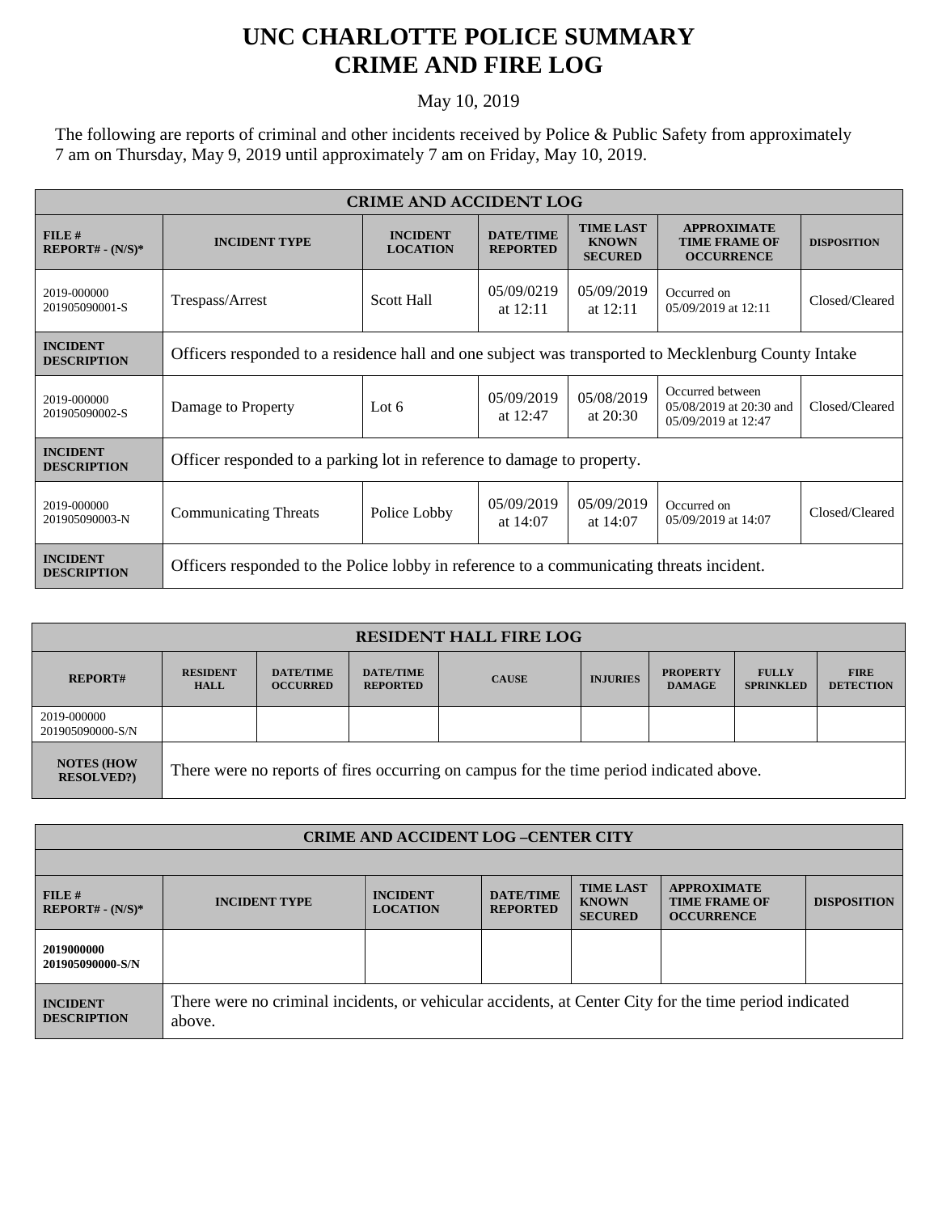## **UNC CHARLOTTE POLICE SUMMARY CRIME AND FIRE LOG**

## May 10, 2019

The following are reports of criminal and other incidents received by Police & Public Safety from approximately 7 am on Thursday, May 9, 2019 until approximately 7 am on Friday, May 10, 2019.

| <b>CRIME AND ACCIDENT LOG</b>         |                                                                                                     |                                    |                                     |                                                    |                                                                    |                    |  |
|---------------------------------------|-----------------------------------------------------------------------------------------------------|------------------------------------|-------------------------------------|----------------------------------------------------|--------------------------------------------------------------------|--------------------|--|
| FILE#<br>$REPORT# - (N/S)*$           | <b>INCIDENT TYPE</b>                                                                                | <b>INCIDENT</b><br><b>LOCATION</b> | <b>DATE/TIME</b><br><b>REPORTED</b> | <b>TIME LAST</b><br><b>KNOWN</b><br><b>SECURED</b> | <b>APPROXIMATE</b><br><b>TIME FRAME OF</b><br><b>OCCURRENCE</b>    | <b>DISPOSITION</b> |  |
| 2019-000000<br>201905090001-S         | Trespass/Arrest                                                                                     | <b>Scott Hall</b>                  | 05/09/0219<br>at $12:11$            | 05/09/2019<br>at $12:11$                           | Occurred on<br>05/09/2019 at 12:11                                 | Closed/Cleared     |  |
| <b>INCIDENT</b><br><b>DESCRIPTION</b> | Officers responded to a residence hall and one subject was transported to Mecklenburg County Intake |                                    |                                     |                                                    |                                                                    |                    |  |
| 2019-000000<br>201905090002-S         | Damage to Property                                                                                  | Lot $6$                            | 05/09/2019<br>at $12:47$            | 05/08/2019<br>at $20:30$                           | Occurred between<br>05/08/2019 at 20:30 and<br>05/09/2019 at 12:47 | Closed/Cleared     |  |
| <b>INCIDENT</b><br><b>DESCRIPTION</b> | Officer responded to a parking lot in reference to damage to property.                              |                                    |                                     |                                                    |                                                                    |                    |  |
| 2019-000000<br>201905090003-N         | <b>Communicating Threats</b>                                                                        | Police Lobby                       | 05/09/2019<br>at $14:07$            | 05/09/2019<br>at $14:07$                           | Occurred on<br>05/09/2019 at 14:07                                 | Closed/Cleared     |  |
| <b>INCIDENT</b><br><b>DESCRIPTION</b> | Officers responded to the Police lobby in reference to a communicating threats incident.            |                                    |                                     |                                                    |                                                                    |                    |  |

| <b>RESIDENT HALL FIRE LOG</b>           |                                                                                         |                                     |                                     |              |                 |                                  |                                  |                                 |
|-----------------------------------------|-----------------------------------------------------------------------------------------|-------------------------------------|-------------------------------------|--------------|-----------------|----------------------------------|----------------------------------|---------------------------------|
| <b>REPORT#</b>                          | <b>RESIDENT</b><br><b>HALL</b>                                                          | <b>DATE/TIME</b><br><b>OCCURRED</b> | <b>DATE/TIME</b><br><b>REPORTED</b> | <b>CAUSE</b> | <b>INJURIES</b> | <b>PROPERTY</b><br><b>DAMAGE</b> | <b>FULLY</b><br><b>SPRINKLED</b> | <b>FIRE</b><br><b>DETECTION</b> |
| 2019-000000<br>201905090000-S/N         |                                                                                         |                                     |                                     |              |                 |                                  |                                  |                                 |
| <b>NOTES (HOW)</b><br><b>RESOLVED?)</b> | There were no reports of fires occurring on campus for the time period indicated above. |                                     |                                     |              |                 |                                  |                                  |                                 |

| <b>CRIME AND ACCIDENT LOG-CENTER CITY</b> |                                                                                                                  |                                    |                                     |                                                    |                                                                 |                    |
|-------------------------------------------|------------------------------------------------------------------------------------------------------------------|------------------------------------|-------------------------------------|----------------------------------------------------|-----------------------------------------------------------------|--------------------|
|                                           |                                                                                                                  |                                    |                                     |                                                    |                                                                 |                    |
| FILE#<br>$REPORT# - (N/S)*$               | <b>INCIDENT TYPE</b>                                                                                             | <b>INCIDENT</b><br><b>LOCATION</b> | <b>DATE/TIME</b><br><b>REPORTED</b> | <b>TIME LAST</b><br><b>KNOWN</b><br><b>SECURED</b> | <b>APPROXIMATE</b><br><b>TIME FRAME OF</b><br><b>OCCURRENCE</b> | <b>DISPOSITION</b> |
| 2019000000<br>201905090000-S/N            |                                                                                                                  |                                    |                                     |                                                    |                                                                 |                    |
| <b>INCIDENT</b><br><b>DESCRIPTION</b>     | There were no criminal incidents, or vehicular accidents, at Center City for the time period indicated<br>above. |                                    |                                     |                                                    |                                                                 |                    |